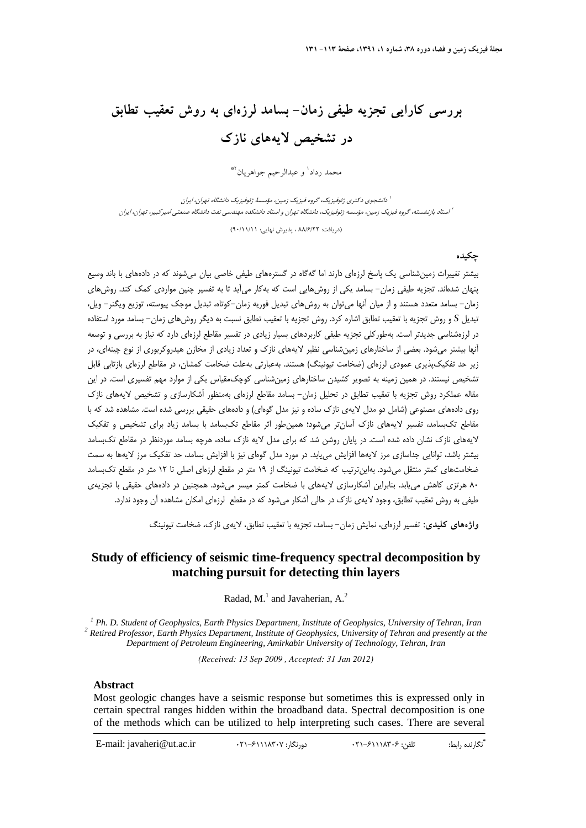# **بررسي كارايي تجزيه طيفي زمان- بسامد لرزهاي به روش تعقيب تطابق در تشخيص لايههاي نازك**

محمد رداد<sup>ا</sup> و عبدالرحيم جواهريان<sup>3</sup>\*

دانشجوي دكتري ژئوفيزيك، گروه فيزيك زمين، مؤسسة ژئوفيزيك دانشگاه تهران، ايران<sup>1</sup> استاد بازنشسته، گروه فيزيك زمين، مؤسسه ژئوفيزيك، دانشگاه تهران <sup>و</sup> استاد دانشكده مهندسي نفت دانشگاه صنعتي اميركبير، تهران، ايران <sup>2</sup>

(دريافت: 88/6/22 ، پذيرش نهايي: 90/11/11)

#### **چكيده**

بيشتر تغييرات زمينشناسي يك پاسخ لرزهاي دارند اما گهگاه در گسترههاي طيفي خاصي بيان ميشوند كه در دادههاي با باند وسيع پنهان شدهاند. تجزيه طيفي زمان- بسامد يكي از روشهايي است كه بهكار ميآيد تا به تفسير چنين مواردي كمك كند. روشهاي زمان- بسامد متعدد هستند و از ميان آنها ميتوان به روشهاي تبديل فوريه زمان-كوتاه، تبديل موجك پيوسته، توزيع ويگنر- ويل، تبديل *S* و روش تجزيه با تعقيب تطابق اشاره كرد. روش تجزيه با تعقيب تطابق نسبت به ديگر روشهاي زمان- بسامد مورد استفاده در لرزهشناسي جديدتر است. بهطوركلي تجزيه طيفي كاربردهاي بسيار زيادي در تفسير مقاطع لرزهاي دارد كه نياز به بررسي و توسعه آنها بيشتر ميشود. بعضي از ساختارهاي زمينشناسي نظير لايههاي نازك و تعداد زيادي از مخازن هيدروكربوري از نوع چينهاي، در زير حد تفكيكپذيري عمودي لرزهاي (ضخامت تيونينگ) هستند. بهعبارتي بهعلت ضخامت كمشان، در مقاطع لرزهاي بازتابي قابل تشخيص نيستند. در همين زمينه به تصوير كشيدن ساختارهاي زمينشناسي كوچكمقياس يكي از موارد مهم تفسيري است. در اين مقاله عملكرد روش تجزيه با تعقيب تطابق در تحليل زمان- بسامد مقاطع لرزهاي بهمنظور آشكارسازي و تشخيص لايههاي نازك روي دادههاي مصنوعي (شامل دو مدل لايهي نازك ساده و نيز مدل گوهاي) و دادههاي حقيقي بررسي شده است. مشاهده شد كه با مقاطع تكبسامد، تفسير لايههاي نازك آسانتر ميشود؛ همينطور اثر مقاطع تكبسامد با بسامد زياد براي تشخيص و تفكيك لايههاي نازك نشان داده شده است. در پايان روشن شد كه براي مدل لايه نازك ساده، هرچه بسامد موردنظر در مقاطع تكبسامد بيشتر باشد، توانايي جداسازي مرز لايهها افزايش مييابد. در مورد مدل گوهاي نيز با افزايش بسامد، حد تفكيك مرز لايهها به سمت ضخامتهاي كمتر منتقل ميشود. بهاينترتيب كه ضخامت تيونينگ از 19 متر در مقطع لرزهاي اصلي تا 12 متر در مقطع تكبسامد 80 هرتزي كاهش مييابد. بنابراين آشكارسازي لايههاي با ضخامت كمتر ميسر ميشود. همچنين در دادههاي حقيقي با تجزيهي طيفي به روش تعقيب تطابق، وجود لايهي نازك در حالي آشكار ميشود كه در مقطع لرزهاي امكان مشاهده آن وجود ندارد.

**واژههاي كليدي:** تفسير لرزهاي، نمايش زمان- بسامد، تجزيه با تعقيب تطابق، لايهي نازك، ضخامت تيونينگ

## **Study of efficiency of seismic time-frequency spectral decomposition by matching pursuit for detecting thin layers**

Radad,  $M<sup>1</sup>$  and Javaherian,  $A<sup>2</sup>$ 

<sup>1</sup> Ph. D. Student of Geophysics, Earth Physics Department, Institute of Geophysics, University of Tehran, Iran <sup>2</sup> Petinad Professor, Earth Physics Department, Institute of Ceophysics, University of Tehran, and presently  *Retired Professor, Earth Physics Department, Institute of Geophysics, University of Tehran and presently at the Department of Petroleum Engineering, Amirkabir University of Technology, Tehran, Iran* 

*(Received: 13 Sep 2009 , Accepted: 31 Jan 2012)* 

#### **Abstract**

Most geologic changes have a seismic response but sometimes this is expressed only in certain spectral ranges hidden within the broadband data. Spectral decomposition is one of the methods which can be utilized to help interpreting such cases. There are several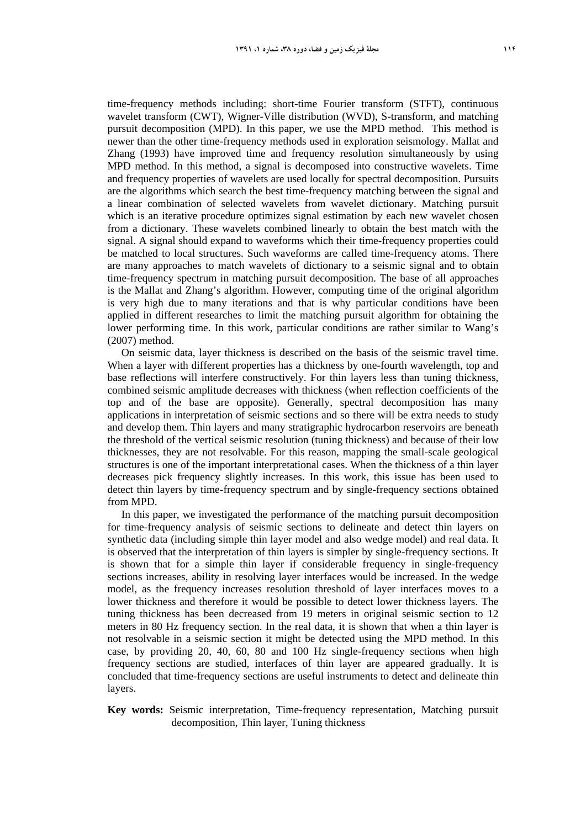time-frequency methods including: short-time Fourier transform (STFT), continuous wavelet transform (CWT), Wigner-Ville distribution (WVD), S-transform, and matching pursuit decomposition (MPD). In this paper, we use the MPD method. This method is newer than the other time-frequency methods used in exploration seismology. Mallat and Zhang (1993) have improved time and frequency resolution simultaneously by using MPD method. In this method, a signal is decomposed into constructive wavelets. Time and frequency properties of wavelets are used locally for spectral decomposition. Pursuits are the algorithms which search the best time-frequency matching between the signal and a linear combination of selected wavelets from wavelet dictionary. Matching pursuit which is an iterative procedure optimizes signal estimation by each new wavelet chosen from a dictionary. These wavelets combined linearly to obtain the best match with the signal. A signal should expand to waveforms which their time-frequency properties could be matched to local structures. Such waveforms are called time-frequency atoms. There are many approaches to match wavelets of dictionary to a seismic signal and to obtain time-frequency spectrum in matching pursuit decomposition. The base of all approaches is the Mallat and Zhang's algorithm. However, computing time of the original algorithm is very high due to many iterations and that is why particular conditions have been applied in different researches to limit the matching pursuit algorithm for obtaining the lower performing time. In this work, particular conditions are rather similar to Wang's (2007) method.

On seismic data, layer thickness is described on the basis of the seismic travel time. When a layer with different properties has a thickness by one-fourth wavelength, top and base reflections will interfere constructively. For thin layers less than tuning thickness, combined seismic amplitude decreases with thickness (when reflection coefficients of the top and of the base are opposite). Generally, spectral decomposition has many applications in interpretation of seismic sections and so there will be extra needs to study and develop them. Thin layers and many stratigraphic hydrocarbon reservoirs are beneath the threshold of the vertical seismic resolution (tuning thickness) and because of their low thicknesses, they are not resolvable. For this reason, mapping the small-scale geological structures is one of the important interpretational cases. When the thickness of a thin layer decreases pick frequency slightly increases. In this work, this issue has been used to detect thin layers by time-frequency spectrum and by single-frequency sections obtained from MPD.

In this paper, we investigated the performance of the matching pursuit decomposition for time-frequency analysis of seismic sections to delineate and detect thin layers on synthetic data (including simple thin layer model and also wedge model) and real data. It is observed that the interpretation of thin layers is simpler by single-frequency sections. It is shown that for a simple thin layer if considerable frequency in single-frequency sections increases, ability in resolving layer interfaces would be increased. In the wedge model, as the frequency increases resolution threshold of layer interfaces moves to a lower thickness and therefore it would be possible to detect lower thickness layers. The tuning thickness has been decreased from 19 meters in original seismic section to 12 meters in 80 Hz frequency section. In the real data, it is shown that when a thin layer is not resolvable in a seismic section it might be detected using the MPD method. In this case, by providing 20, 40, 60, 80 and 100 Hz single-frequency sections when high frequency sections are studied, interfaces of thin layer are appeared gradually. It is concluded that time-frequency sections are useful instruments to detect and delineate thin layers.

#### **Key words:** Seismic interpretation, Time-frequency representation, Matching pursuit decomposition, Thin layer, Tuning thickness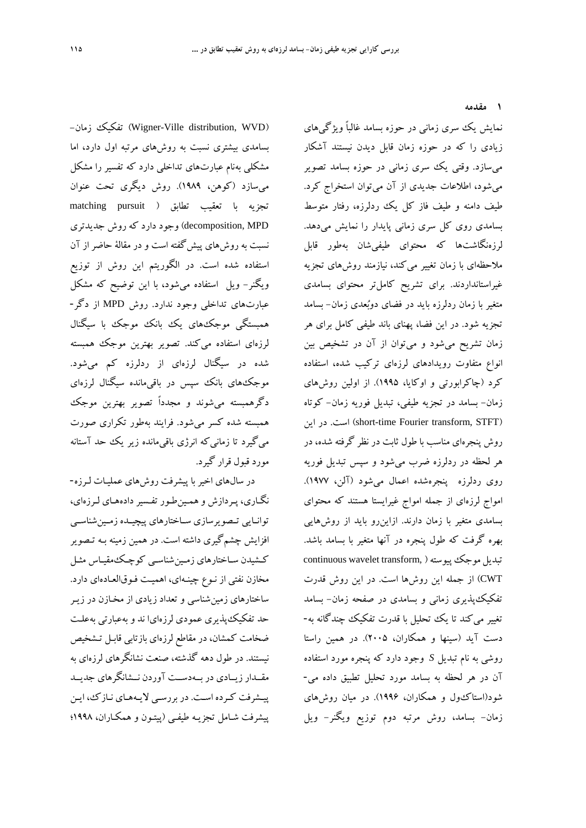**1 مقدمه** 

-زمان تفكيك) Wigner-Ville distribution, WVD) بسامدي بيشتري نسبت به روشهاي مرتبه اول دارد، اما مشكلي بهنام عبارتهاي تداخلي دارد كه تفسير را مشكل ميسازد (كوهن، 1989). روش ديگري تحت عنوان تجزيه با تعقيب تطابق ( pursuit matching MPD ,decomposition (وجود دارد كه روش جديدتري نسبت به روشهاي پيشگفته است و در مقالة حاضر از آن استفاده شده است. در الگوريتم اين روش از توزيع ويگنر- ويل استفاده ميشود، با اين توضيح كه مشكل عبارتهاي تداخلي وجود ندارد. روش MPD از دگر- همبستگي موجكهاي يك بانك موجك با سيگنال لرزهاي استفاده ميكند. تصوير بهترين موجك همبسته شده در سيگنال لرزهاي از ردلرزه كم ميشود. موجكهاي بانك سپس در باقيمانده سيگنال لرزهاي دگرهمبسته ميشوند و مجدداً تصوير بهترين موجك همبسته شده كسر ميشود. فرايند بهطور تكراري صورت ميگيرد تا زمانيكه انرژي باقيمانده زير يك حد آستانه مورد قبول قرار گيرد.

در سالهاي اخير با پيشرفت روش هاي عمليـات لـرزه- نگـاري، پـردازش و همـينطـور تفـسيردادههـاي لـرزهاي، توانـايي تــصويرسازي ســاختارهاي پيچيـده زمــينشناســي افزايش چشمگيري داشته است. در همين زمينه بـه تـصوير كـشيدن سـاختارهاي زمـينشناسـي كوچـكمقيـاس مثـل مخازن نفتي از نـوع چينـه اي، اهميـت فـوق العـادهاي دارد. ساختارهاي زمينشناسي و تعداد زيادي از مخـازن در زيـر حد تفكيكپذيري عمودي لرزهايا ند و بهعبارتي بهعلـت ضخامت كمشان، در مقاطع لرزهاي بازتابي قابـل تـشخيص نيستند. در طول دهه گذشته، صنعت نشانگرهاي لرزهاي به مقــدار زيــادي در بــهدســت آوردن نــشانگرهاي جديــد پيـشرفت كـرده اسـت. در بررسـي لايـههـاي نـازك، ايـن پيشرفت شـامل تجزيـه طيفـي (پيتـون و همكـاران، 1998؛

نمايش يك سري زماني در حوزه بسامد غالباً ويژگيهاي زيادي را كه در حوزه زمان قابل ديدن نيستند آشكار ميسازد. وقتي يك سري زماني در حوزه بسامد تصوير ميشود، اطلاعات جديدي از آن ميتوان استخراج كرد. طيف دامنه و طيف فاز كل يك ردلرزه، رفتار متوسط بسامدي روي كل سري زماني پايدار را نمايش ميدهد. لرزهنگاشتها كه محتواي طيفيشان بهطور قابل ملاحظهاي با زمان تغيير مي كند، نيازمند روشهاي تجزيه غيراستانداردند. براي تشريح كاملتر محتواي بسامدي متغير با زمان ردلرزه بايد در فضاي دوبعدي زمان- بسامد تجزيه شود. در اين فضا، پهناي باند طيفي كامل براي هر زمان تشريح ميشود و ميتوان از آن در تشخيص بين انواع متفاوت رويدادهاي لرزهاي تركيب شده، استفاده كرد (چاكرابورتي و اوكايا، 1995). از اولين روشهاي زمان- بسامد در تجزيه طيفي، تبديل فوريه زمان- كوتاه اين در .است) short-time Fourier transform, STFT) روش پنجرهاي مناسب با طول ثابت در نظر گرفته شده، در هر لحظه در ردلرزه ضرب ميشود و سپس تبديل فوريه روي ردلرزه پنجرهشده اعمال ميشود (آلن، 1977). امواج لرزهاي از جمله امواج غيرايستا هستند كه محتواي بسامدي متغير با زمان دارند. ازاينرو بايد از روشهايي بهره گرفت كه طول پنجره در آنها متغير با بسامد باشد. continuous wavelet transform, )موجكپيوسته تبديل CWT (از جمله اين روشها است. در اين روش قدرت تفكيكپذيري زماني و بسامدي در صفحه زمان- بسامد تغيير ميكند تا يك تحليل با قدرت تفكيك چندگانه به- دست آيد (سينها و همكاران، 2005). در همين راستا روشي به نام تبديل *S* وجود دارد كه پنجره مورد استفاده آن در هر لحظه به بسامد مورد تحليل تطبيق داده مي- شود(استاكول و همكاران، 1996). در ميان روشهاي زمان- بسامد، روش مرتبه دوم توزيع ويگنر- ويل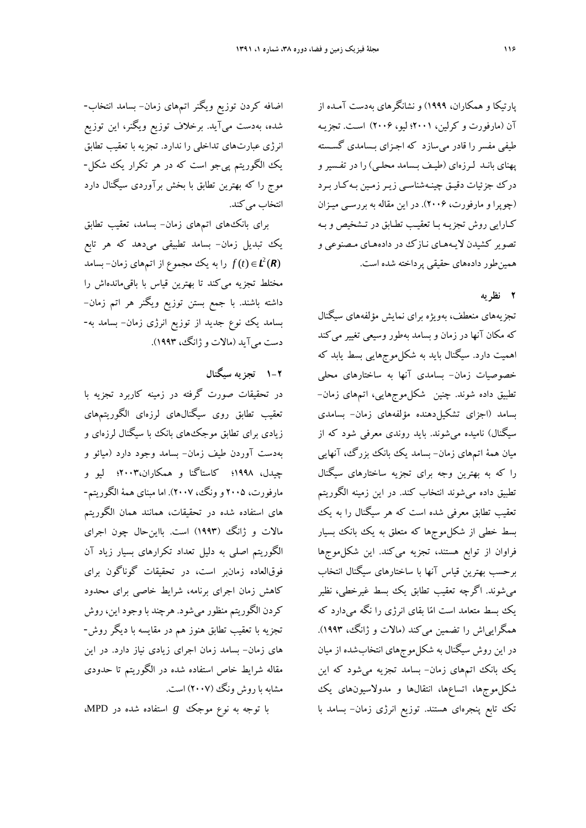پارتيكا و همكاران، 1999) و نشانگرهاي بهدست آمـده از آن (مارفورت و كرلين، 2001؛ ليو، 2006) اسـت. تجزيـه طيفي مفسر را قادر ميسازد كه اجـزاي بـسامدي گسـسته پهناي بانـد لـرزهاي (طيـف بـسامد محلـي) را در تفـسير و درك جزئيات دقيـق چينـه شناسـي زيـر زمـين بـه كـار بـرد (چوپرا و مارفورت، 2006). در اين مقاله به بررسـي ميـز ان كـارايي روش تجزيـه بـا تعقيـب تطـابق در تـشخيص و بـه تصوير كشيدن لايـههـاي نـازك در داده هـاي مـصنوعي و همينطور دادههاي حقيقي پرداخته شده است.

## **2 نظريه**

تجزيههاي منعطف، بهويژه براي نمايش مؤلفههاي سيگنال كه مكان آنها در زمان و بسامد بهطور وسيعي تغيير مي كند اهميت دارد. سيگنال بايد به شكلموجهايي بسط يابد كه خصوصيات زمان- بسامدي آنها به ساختارهاي محلي تطبيق داده شوند. چنين شكلموجهايي، اتمهاي زمان- بسامد (اجزاي تشكيلدهنده مؤلفههاي زمان- بسامدي سيگنال) ناميده ميشوند. بايد روندي معرفي شود كه از ميان همة اتمهاي زمان- بسامد يك بانك بزرگ، آنهايي را كه به بهترين وجه براي تجزيه ساختارهاي سيگنال تطبيق داده ميشوند انتخاب كند. در اين زمينه الگوريتم تعقيب تطابق معرفي شده است كه هر سيگنال را به يك بسط خطي از شكلموجها كه متعلق به يك بانك بسيار فراوان از توابع هستند، تجزيه ميكند. اين شكلموجها برحسب بهترين قياس آنها با ساختارهاي سيگنال انتخاب ميشوند. اگرچه تعقيب تطابق يك بسط غيرخطي، نظير يك بسط متعامد است اما بقاي انرژي را نگه ميدارد كه همگرايياش را تضمين ميكند (مالات و ژانگ، 1993). در اين روش سيگنال به شكل موجهاي انتخابشده از ميان يك بانك اتمهاي زمان- بسامد تجزيه ميشود كه اين شكلموجها، اتساعها، انتقالها و مدولاسيونهاي يك تك تابع پنجرهاي هستند. توزيع انرژي زمان- بسامد با

اضافه كردن توزيع ويگنر اتمهاي زمان- بسامد انتخاب- شده، بهدست ميآيد. برخلاف توزيع ويگنر، اين توزيع انرژي عبارتهاي تداخلي را ندارد. تجزيه با تعقيب تطابق يك الگوريتم پيجو است كه در هر تكرار يك شكل- موج را كه بهترين تطابق با بخش برآوردي سيگنال دارد انتخاب مي كند.

براي بانكهاي اتمهاي زمان- بسامد، تعقيب تطابق يك تبديل زمان- بسامد تطبيقي ميدهد كه هر تابع *R L*() ( ) ∈*t f* را به يك مجموع از اتمهاي زمان- بسامد <sup>2</sup> مختلط تجزيه ميكند تا بهترين قياس با باقيماندهاش را داشته باشند. با جمع بستن توزيع ويگنر هر اتم زمان- بسامد يك نوع جديد از توزيع انرژي زمان- بسامد به- دست ميآيد (مالات و ژانگ، 1993).

## **1-2 تجزيه سيگنال**

در تحقيقات صورت گرفته در زمينه كاربرد تجزيه با تعقيب تطابق روي سيگنالهاي لرزهاي الگوريتمهاي زيادي براي تطابق موجكهاي بانك با سيگنال لرزهاي و بهدست آوردن طيف زمان- بسامد وجود دارد (ميائو و چيدل، 1998؛ كاستاگنا و همكاران2003،؛ ليو و مارفورت، 2005 و ونگ، 2007). اما مبناي همة الگوريتم- هاي استفاده شده در تحقيقات، همانند همان الگوريتم مالات و ژانگ (1993) است. بااينحال چون اجراي الگوريتم اصلي به دليل تعداد تكرارهاي بسيار زياد آن فوقالعاده زمانبر است، در تحقيقات گوناگون براي كاهش زمان اجراي برنامه، شرايط خاصي براي محدود كردن الگوريتم منظور ميشود. هرچند با وجود اين، روش تجزيه با تعقيب تطابق هنوز هم در مقايسه با ديگر روش- هاي زمان- بسامد زمان اجراي زيادي نياز دارد. در اين مقاله شرايط خاص استفاده شده در الگوريتم تا حدودي مشابه با روش ونگ (2007) است.

با توجه به نوع موجك *g* استفاده شده در MPD،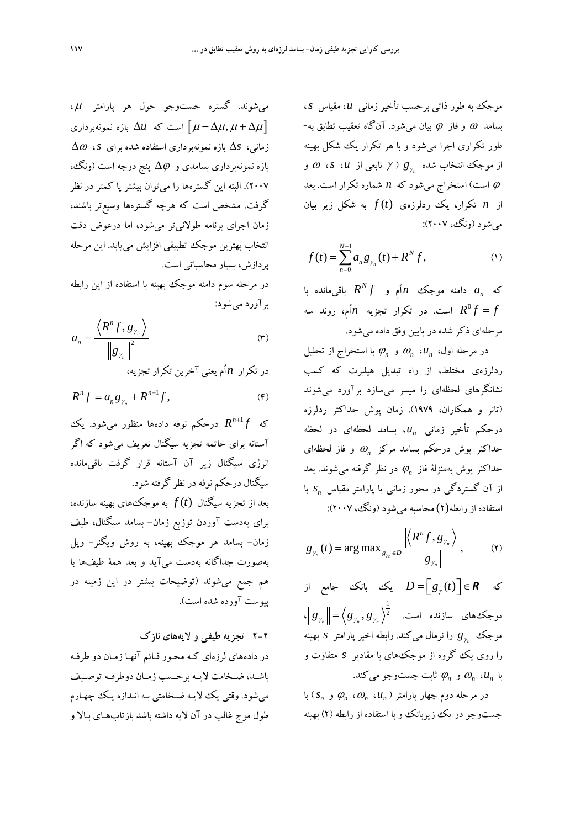موجك به طور ذاتي برحسب تأخير زماني *u*، مقياس *s*، بسامد  $\omega$  و فاز  $\varphi$  بيان مي شود. آنگاه تعقيب تطابق به-طور تكراري اجرا ميشود و با هر تكرار يك شكل بهينه ( <sup>γ</sup> تابعي از *u*، *s*، <sup>ω</sup> و *g*<sup>γ</sup> *<sup>n</sup>* از موجك انتخاب شده <sup>ϕ</sup> است) استخراج ميشود كه *n* شماره تكرار است. بعد از *n* تكرار، يك ردلرزهي *t* ( )*f* به شكل زير بيان ميشود (ونگ، 2007):

$$
f(t) = \sum_{n=0}^{N-1} a_n g_{\gamma_n}(t) + R^N f,
$$
 (1)

*a* دامنه موجك *n* اُم و *<sup>n</sup>* كه *<sup>N</sup>* با باقيمانده *R f* = *f f R* است. در تكرار تجزيه *n* اُم، روند سه <sup>0</sup> مرحلهاي ذكر شده در پايين وفق داده ميشود.

با استخراج از <sup>ϕ</sup>*<sup>n</sup>* تحليل و <sup>ω</sup>*<sup>n</sup> u*، *<sup>n</sup>* در مرحله اول، ردلرزهي مختلط، از راه تبديل هيلبرت كه كسب نشانگرهاي لحظهاي را ميسر ميسازد برآورد ميشوند (تانر و همكاران، 1979). زمان پوش حداكثر ردلرزه درحكم تأخير زماني "u، بسامد لحظهاي در لحظه و فاز لحظهاي <sup>ω</sup>*<sup>n</sup>* حداكثر پوش درحكم بسامد مركز در نظر گرفته شوند. بعد <sup>ϕ</sup>*<sup>n</sup>* مي حداكثر پوش بهمنزلة فاز *s* با *<sup>n</sup>* از آن گستردگي در محور زماني يا پارامتر مقياس استفاده از رابطه(2) محاسبه ميشود (ونگ، 2007):

$$
g_{\gamma_n}(t) = \arg \max\nolimits_{g_{\gamma_n} \in D} \frac{\left| \left\langle R^n f, g_{\gamma_n} \right\rangle \right|}{\left\| g_{\gamma_n} \right\|},\tag{\textbf{Y}}
$$

كه **R** ∍ √  $D = \left[ g_{\gamma}(t) \right] \in \mathbb{R}$  يك بانك جامع از موجكهاي سازنده است. 1  $\mathcal{L} \left\| \mathcal{B}_{\gamma_n} \right\| = \left\langle \mathcal{B}_{\gamma_n}, \mathcal{B}_{\gamma_n} \right\rangle^2$ را نرمال كند. رابطه اخير پارامتر *s* بهينه <sup>γ</sup> مي *g <sup>n</sup>* موجك را روي يك گروه از موجكهاي با مقادير *s* متفاوت و وجو ميكند. <sup>ϕ</sup>*<sup>n</sup>* ثابت جست و <sup>ω</sup>*<sup>n</sup> u*، *<sup>n</sup>* با

 $\varphi_n$  (*s<sub>n</sub> ) مرحله دوم چهار پارامتر (* $\varphi_n$ *، ،* $\varphi_n$  *،*  $\varphi_n$  *) با* جستوجو در يك زيربانك و با استفاده از رابطه (2) بهينه

ميشوند. گستره جستوجو حول هر پارامتر <sup>μ</sup> ، است که ا $\Delta u$  بازه نمونهبرداری  $\mu - \Delta \mu, \mu + \Delta \mu$ ] زماني، Δ*s* بازه نمونهبرداري استفاده شده براي *s*، Δ<sup>ω</sup> بازه نمونهبرداري بسامدي و Δ<sup>ϕ</sup> پنج درجه است (ونگ، 2007). البته اين گسترهها را ميتوان بيشتر يا كمتر در نظر گرفت. مشخص است كه هرچه گسترهها وسيعتر باشند، زمان اجراي برنامه طولانيتر ميشود، اما درعوض دقت انتخاب بهترين موجك تطبيقي افزايش مييابد. اين مرحله پردازش، بسيار محاسباتي است.

در مرحله سوم دامنه موجك بهينه با استفاده از اين رابطه برآورد ميشود:

$$
a_n = \frac{\left| \left\langle R^n f, g_{\gamma_n} \right\rangle \right|}{\left\| g_{\gamma_n} \right\|^2} \tag{\mathbf{r}}
$$

در تكرار *n* اُم يعني آخرين تكرار تجزيه،

$$
R^n f = a_n g_{\gamma_n} + R^{n+1} f,\tag{\mathfrak{F}}
$$

درحكم نوفه دادهها منظور ميشود. يك <sup>+</sup> *f R* <sup>1</sup> *<sup>n</sup>* كه آستانه براي خاتمه تجزيه سيگنال تعريف ميشود كه اگر انرژي سيگنال زير آن آستانه قرار گرفت باقيمانده سيگنال درحكم نوفه در نظر گرفته شود. بعد از تجزيه سيگنال *t* ( )*f* به موجكهاي بهينه سازنده، براي بهدست آوردن توزيع زمان- بسامد سيگنال، طيف زمان- بسامد هر موجك بهينه، به روش ويگنر- ويل بهصورت جداگانه بهدست ميآيد و بعد همة طيفها با هم جمع ميشوند (توضيحات بيشتر در اين زمينه در پيوست آورده شده است).

**2-2 تجزيه طيفي و لايههاي نازك** 

در دادههاي لرزهاي كـه محـور قـائم آنهـا زمـان دو طرفـه باشــد، ضــخامت لايــه برحــسب زمــان دوطرفــه توصــيف ميشود. وقتي يك لايـه ضـخامتي بـه انـدازه يـك چهـارم طول موج غالب در آن لايه داشته باشد بازتابهـاي بـالا و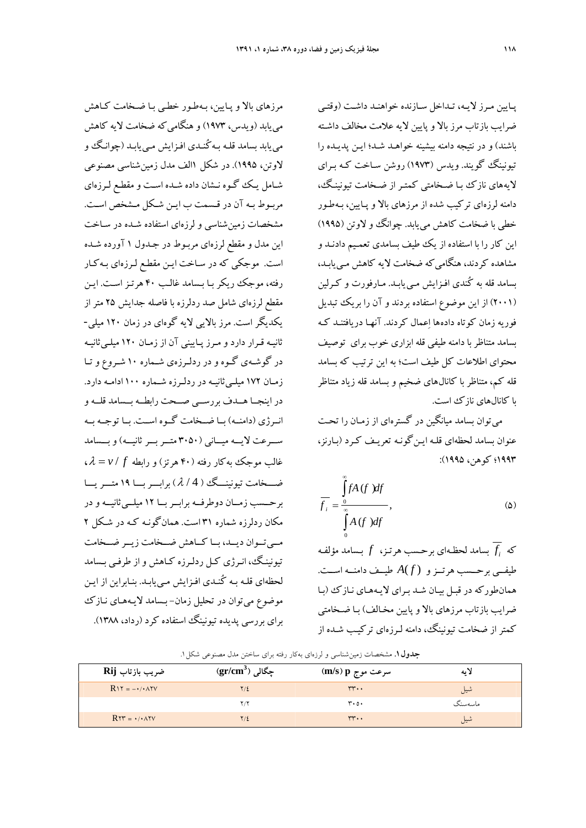پـايين مـرز لايـه، تـداخل سـازنده خواهنـد داشـت (وقتـي ضرايب بازتاب مرز بالا و پايين لايه علامت مخالف داشـته باشند) و در نتيجه دامنه بيشينه خواهـد شـد ؛ ايـن پديـده را تيونينگ گويند. ويدس (1973) روشن سـاخت كـه بـراي لايههاي نازك بـا ضـخامتي كمتـر از ضـخامت تيونينـگ، دامنه لرزهاي تركيب شده از مرزهاي بالا و پـايين، بـهطـور خطي با ضخامت كاهش مي يابد. چوانگ و لاوتن (1995) اين كار را با استفاده از يك طيف بسامدي تعمـيم دادنـد و مشاهده كردند، هنگاميكه ضخامت لايه كاهش مـييابـد، بسامد قله به كُندي افـزايش مـي يابـد. مـارفورت و كـرلين (2001) از اين موضوع استفاده بردند و آن را بريك تبديل فوريه زمان كوتاه دادهها اعمال كردند. آنهـا دريافتنـد كـه بسامد متناظربا دامنه طيفي قله ابزاري خوب براي توصيف محتواي اطلاعات كل طيف است؛ به اين ترتيب كه بسامد قله كم، متناظر با كانالهاي ضخيم و بسامد قله زياد متناظر با كانالهاي نازك است.

ميتوان بسامد ميانگين در گسترهاي از زمـان را تحـت عنوان بسامد لحظهاي قلـه ايـنگونـه تعريـف كـرد (بـارنز، 1993؛ كوهن، 1995):

$$
\overline{f}_i = \frac{\int_{0}^{\infty} f A(f) df}{\int_{0}^{\infty} A(f) df},
$$
\n(2)

*f* بسامد لحظـهاي برحـسب هرتـز، *f* بـسامد مؤلفـه *<sup>i</sup>* كه طيفــي برحــسب هرتــزو *f*( ) *A* طيــف دامنــه اســت. همانطوركه در قبـل بيـان شـد بـراي لايـه هـاي نـازك (بـا ضرايب بازتاب مرزهاي بالا و پايين مخـالف ) بـا ضـخامتي كمتر از ضخامت تيونينگ، دامنه لـرزه اي تركيـب شـده از

مرزهاي بالا و پـايين، بـهطـور خطـي بـا ضـخامت كـاهش مي يابد (ويدس، ۱۹۷۳) و هنگامي كه ضخامت لايه كاهش مييابد بسامد قلـه بـه كُنـدي افـزايش مـي يابـد (چوانـگ و لاوتن، 1995). در شكل 1الف مدل زمينشناسي مصنوعي شـامل يـك گـوه نـشان داده شـده اسـت و مقطـع لـرزهاي مربـوط بـه آن در قـسمت ب ايـن شـكل مـشخص اسـت. مشخصات زمينشناسي و لرزهاي استفاده شـده در سـاخت اين مدل و مقطع لرزه اي مربـوط در جـدول 1 آورده شـده است. موجكي كه در سـاخت ايـن مقطـع لـرزه اي بـهكـار رفته، موجك ريكر بـا بـسامد غالـب 40 هرتـز اسـت. ايـن مقطع لرزهاي شامل صد ردلرزه با فاصله جدايش 25 متر از يكديگر است. مرز بالايي لايه گوهاي در زمان 120 ميلي- ثانيـه قـرار دارد و مـرز پـاييني آن از زمـان 120 ميلـيثانيـه در گوشـهي گـوه و در ردلـرزهي شـماره 10 شـروع وتـا زمـان 172 ميلـيثانيـه در ردلـرزه شـماره 100 ادامـه دارد. در اينجــا هــدف بررســي صــحت رابطــه بــسامد قلــه و انــرژي (دامنــه) بــا ضــخامت گــوه اســت. بــا توجــه بــه ســـرعت لايـــه ميـــاني (3050 متـــربـــرثانيـــه) وبـــسامد  $\lambda = v / f$  غالب موجك بهكار رفته (۴۰ هرتز) و رابطه  $\lambda = v / f$ ، ضـــخامت تيونينـــگ ( 4 / <sup>λ</sup> (برابـــربـــا 19 متـــريـــا برحــسب زمــان دوطرفــه برابــربــا 12 ميلــيثانيــه و در مكان ردلرزه شماره 31 است. همانگونـه كـه در شـكل 2 مــيتــوان ديــد، بــا كــاهش ضــخامت زيــر ضــخامت تيونينـگ، انـرژي كـل ردلـرزه كـاهش و از طرفـي بـسامد لحظهاي قلـه بـه كُنـدي افـزايش مـييابـد. بنـابراين از ايـن موضوع ميتوان در تحليل زمان- بـسامد لايـههـاي نـازك براي بررسي پديده تيونينگ استفاده كرد (رداد، 1388).

| ضريب بازتاب Rij                         | $\rm (gr/cm^3)$ چگالی | سرعت موج m/s) p)  | لانه    |
|-----------------------------------------|-----------------------|-------------------|---------|
| $RY = -\cdot / \cdot \wedge YV$         | ۲/٤                   | $rr \cdots$       | شيل     |
|                                         | ۲/۲                   | $r \cdot o \cdot$ | ماسەسنگ |
| $R\tau r = \cdot / \cdot \Delta \tau v$ | ۲/٤                   | $rr \cdots$       | شيإ     |

**جدول.1** مشخصات زمينشناسي و لرزهاي بهكار رفته براي ساختن مدل مصنوعي شكل.1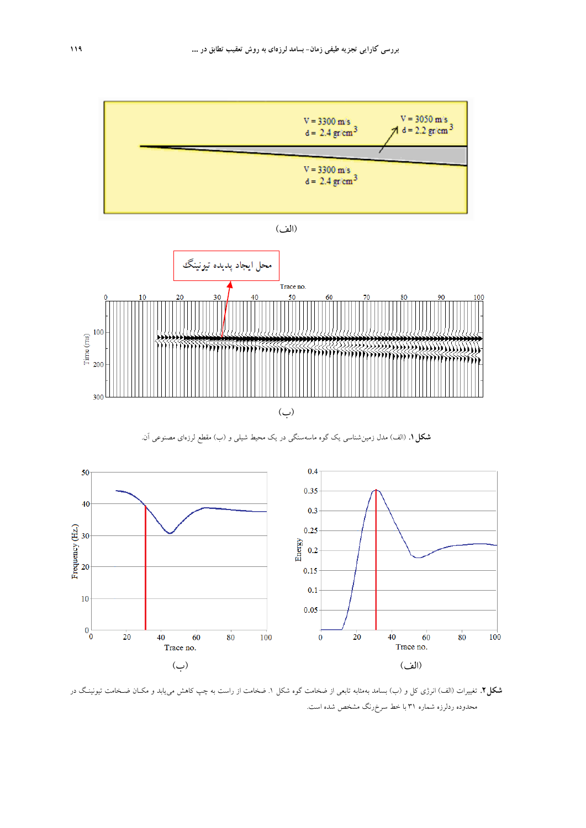





**شكل.1** (الف) مدل زمينشناسي يك گوه ماسهسنگي در يك محيط شيلي و (ب) مقطع لرزهاي مصنوعي آن.



**شكل.2** تغييرات (الف) انرژي كل و (ب) بسامد بهمثابه تابعي از ضخامت گوه شكل .1 ضخامت از راست به چپ كاهش مييابد و مكـان ضـخامت تيونينـگ در محدوده ردلرزه شماره 31 با خط سرخرنگ مشخص شده است.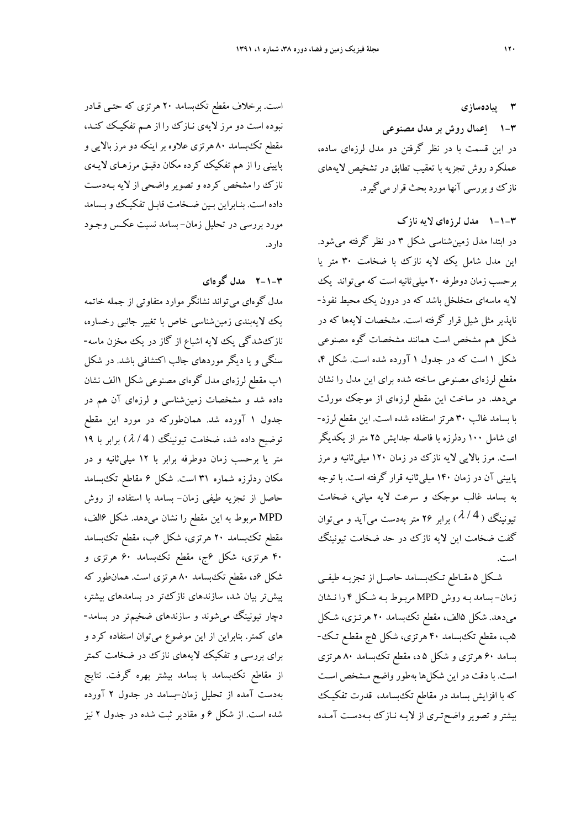**3 پيادهسازي 1-3 اعمال روش بر مدل مصنوعي**  در اين قسمت با در نظر گرفتن دو مدل لرزهاي ساده، عملكرد روش تجزيه با تعقيب تطابق در تشخيص لايههاي نازك و بررسي آنها مورد بحث قرار ميگيرد.

#### **1-1-3 مدل لرزهاي لايه نازك**

در ابتدا مدل زمينشناسي شكل 3 در نظر گرفته ميشود. اين مدل شامل يك لايه نازك با ضخامت ٣٠ متر يا برحسب زمان دوطرفه 20 ميليثانيه است كه ميتواند يك لايه ماسهاي متخلخل باشد كه در درون يك محيط نفوذ- ناپذير مثل شيل قرار گرفته است. مشخصات لايهها كه در شكل هم مشخص است همانند مشخصات گوه مصنوعي شكل 1 است كه در جدول 1 آورده شده است. شكل ،4 مقطع لرزهاي مصنوعي ساخته شده براي اين مدل را نشان ميدهد. در ساخت اين مقطع لرزهاي از موجك مورلت با بسامد غالب 30 هرتز استفاده شده است. اين مقطع لرزه- اي شامل 100 ردلرزه با فاصله جدايش 25 متر از يكديگر است. مرز بالايي لايه نازك در زمان 120 ميليثانيه و مرز پاييني آن در زمان 140 ميليثانيه قرار گرفته است. با توجه به بسامد غالب موجك و سرعت لايه مياني، ضخامت تیونینگ (4 / *۸)* برابر ۲۶ متر بهدست میآید و میتوان گفت ضخامت اين لايه نازك در حد ضخامت تيونينگ است.

شـكل 5 مقـاطع تـكبـسامد حاصـل از تجزيـه طيفـي زمان- بسامد بـه روش MPD مربـوط بـه شـكل 4 را نـشان ميدهد. شكل 5الف، مقطع تكبسامد 20 هرتـزي، شـكل 5ب، مقطع تكبسامد 40 هرتزي، شكل 5ج مقطـع تـك - بسامد 60 هرتزي و شكل 5 د، مقطع تكبسامد 80 هرتزي است. با دقت در اين شكلها بهطور واضح مـشخص اسـت كه با افزايش بسامد در مقاطع تكبسامد، قدرت تفكيـك بيشترو تصوير واضحتـري از لايـه نـازك بـه دسـت آمـده

است. برخلاف مقطع تكبسامد 20 هرتزي كه حتـي قـادر نبوده است دو مرز لايه ي نـازك را از هـم تفكيـك كنـد، مقطع تكبسامد 80 هرتزي علاوه بر اينكه دو مرز بالايي و پاييني را از هم تفكيك كرده مكان دقيـق مرزهـاي لايـه ي نازك را مشخص كرده و تصوير واضحي از لايه بـهدسـت داده است. بنـابراين بـين ضـخامت قابـل تفكيـك و بـسامد مورد بررسي در تحليل زمان - بسامد نسبت عكـس وجـود دارد.

## **2-1-3 مدل گوهاي**

مدل گوهاي ميتواند نشانگر موارد متفاوتي از جمله خاتمه يك لايهبندي زمينشناسي خاص با تغيير جانبي رخساره، نازكشدگي يك لايه اشباع از گاز در يك مخزن ماسه- سنگي و يا ديگر موردهاي جالب اكتشافي باشد. در شكل 1ب مقطع لرزهاي مدل گوهاي مصنوعي شكل 1الف نشان داده شد و مشخصات زمينشناسي و لرزهاي آن هم در جدول 1 آورده شد. همانطوركه در مورد اين مقطع توضيح داده شد، ضخامت تيونينگ ( 4 / <sup>λ</sup> (برابر با 19 متر يا برحسب زمان دوطرفه برابر با 12 ميليثانيه و در مكان ردلرزه شماره 31 است. شكل 6 مقاطع تكبسامد حاصل از تجزيه طيفي زمان- بسامد با استفاده از روش MPD مربوط به اين مقطع را نشان ميدهد. شكل 6الف، مقطع تكبسامد 20 هرتزي، شكل 6ب، مقطع تكبسامد 40 هرتزي، شكل 6ج، مقطع تكبسامد 60 هرتزي و شكل 6د، مقطع تكبسامد 80 هرتزي است. همانطور كه پيشتر بيان شد، سازندهاي نازكتر در بسامدهاي بيشتر، دچار تيونينگ ميشوند و سازندهاي ضخيمتر در بسامد- هاي كمتر. بنابراين از اين موضوع ميتوان استفاده كرد و براي بررسي و تفكيك لايههاي نازك در ضخامت كمتر از مقاطع تكبسامد با بسامد بيشتر بهره گرفت. نتايج بهدست آمده از تحليل زمان-بسامد در جدول 2 آورده شده است. از شكل 6 و مقادير ثبت شده در جدول 2 نيز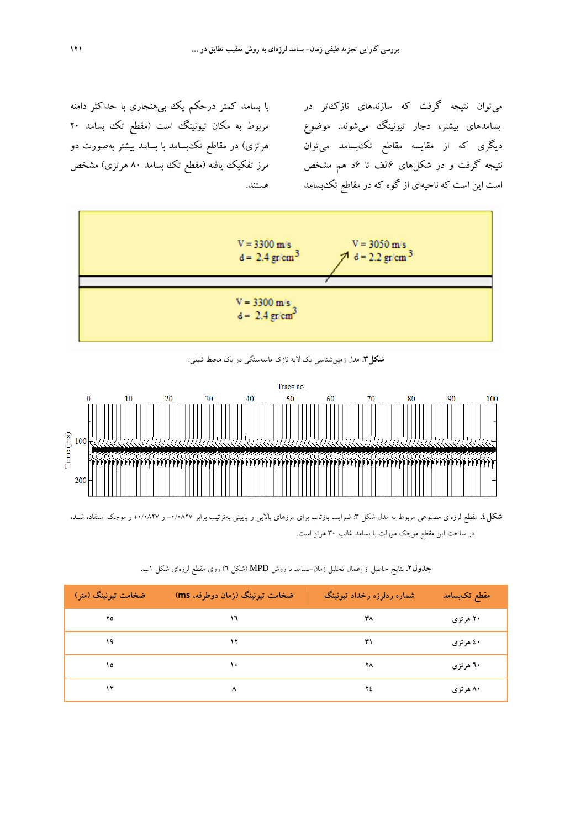با بسامد كمتر درحكم يك بيهنجاري با حداكثر دامنه مربوط به مكان تيونينگ است (مقطع تك بسامد 20 هرتزي) در مقاطع تكبسامد با بسامد بيشتر بهصورت دو مرز تفكيك يافته (مقطع تك بسامد 80 هرتزي) مشخص هستند.

ميتوان نتيجه گرفت كه سازندهاي نازكتر در بسامدهاي بيشتر، دچار تيونينگ ميشوند. موضوع ديگري كه از مقايسه مقاطع تكبسامد ميتوان نتيجه گرفت و در شكلهاي 6الف تا 6د هم مشخص است اين است كه ناحيهاي از گوه كه در مقاطع تكبسامد



**شكل.3** مدل زمينشناسي يك لايه نازك ماسهسنگي در يك محيط شيلي.



**شكل.4** مقطع لرزهاي مصنوعي مربوط به مدل شكل :3 ضرايب بازتاب براي مرزهاي بالايي و پاييني بهترتيب برابر -0/0827 و +0/0827 و موجك استفاده شـده در ساخت اين مقطع موجك مورلت با بسامد غالب 30 هرتز است.

| ضخامت تيونينگ (متر) | ضخامت تیونینگ (زمان دوطرفه. ms) | شماره ردلرزه رخداد تيونينگ | مقطع تکبسامد |
|---------------------|---------------------------------|----------------------------|--------------|
| ۲٥                  | $\sqrt{ }$                      | ۳۸                         | ۲۰ هرتزی     |
| ۱۹                  | ۱۲                              | ۳۱                         | ٤٠ هرتزي     |
| ۱٥                  | $\lambda$                       | ۲٨                         | ۲۰ هرتزی     |
| ۱۲                  | ⋏                               | ۲٤                         | ۸۰ هرتزی     |

| <b>جدول۲</b> . نتایج حاصل از اِعمال تحلیل زمان–بسامد با روش MPD (شکل ٦) روی مقطع لرزهای شکل ۱ب. |
|-------------------------------------------------------------------------------------------------|
|-------------------------------------------------------------------------------------------------|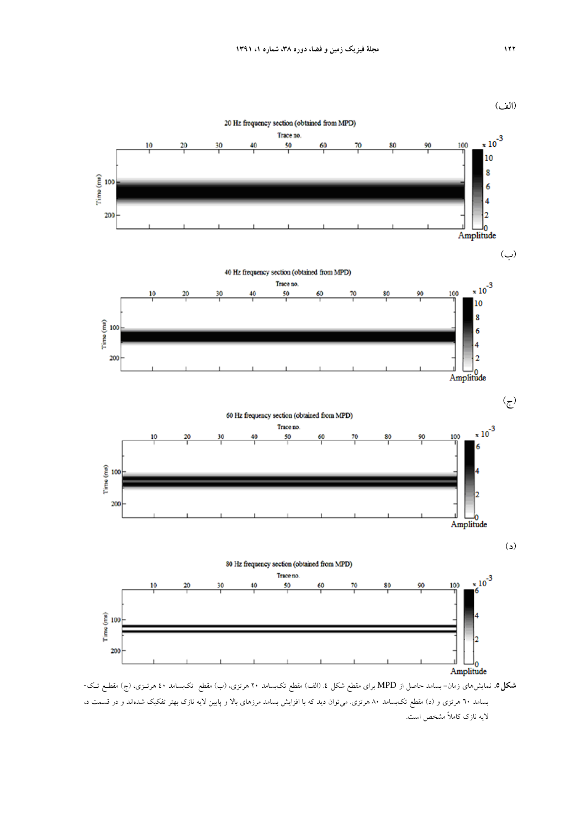

بسامد 60 هرتزي و (د) مقطع تكبسامد 80 هرتزي. ميتوان ديد كه با افزايش بسامد مرزهاي بالا و پايين لايه نازك بهتر تفكيك شدهاند و در قسمت د، لايه نازك كاملاً مشخص است.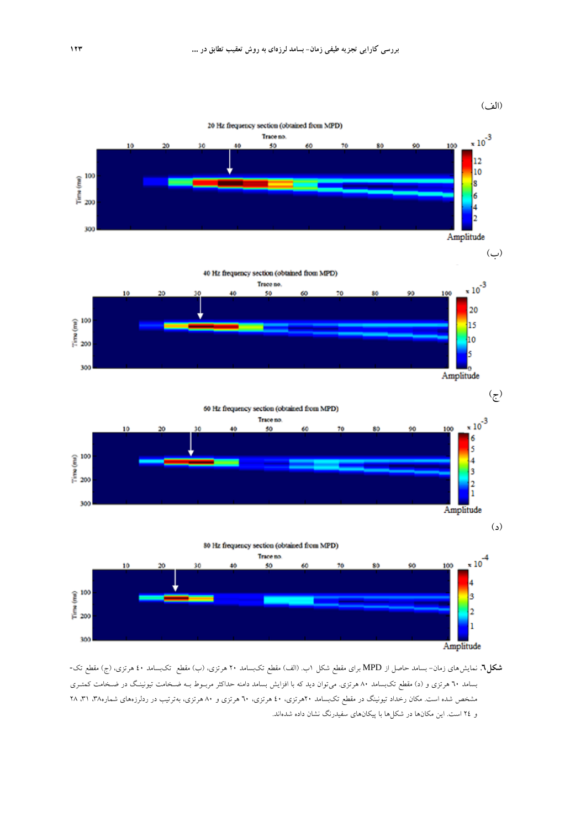

**شكل.6** نمايشهاي زمان- بسامد حاصل از MPD براي مقطع شكل 1ب. (الف) مقطع تكبسامد 20 هرتزي، (ب) مقطع تكبسامد 40 هرتزي، (ج) مقطع تك- بسامد 60 هرتزي و (د) مقطع تكبسامد 80 هرتزي. ميتوان ديد كه با افزايش بسامد دامنه حداكثر مربـوط بـه ضـخامت تيونينـگ در ضـخامت كمتـري مشخص شده است. مكان رخداد تيونينگ در مقطع تكبسامد 20هرتزي، 40 هرتزي، 60 هرتزي و 80 هرتزي، بهترتيب در ردلرزههاي شماره،38 ،31 28 و 24 است. اين مكانها در شكلها با پيكانهاي سفيدرنگ نشان داده شدهاند.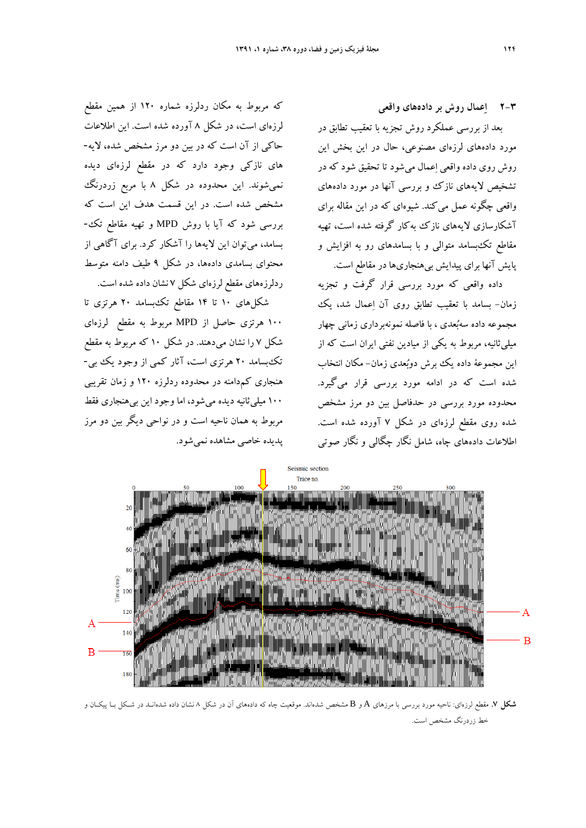**2-3 اعمال روش بر دادههاي واقعي** 

بعد از بررسي عملكرد روش تجزيه با تعقيب تطابق در مورد دادههاي لرزهاي مصنوعي، حال در اين بخش اين روش روي داده واقعي اعمال ميشود تا تحقيق شود كه در تشخيص لايههاي نازك و بررسي آنها در مورد دادههاي واقعي چگونه عمل ميكند. شيوهاي كه در اين مقاله براي آشكارسازي لايههاي نازك بهكار گرفته شده است، تهيه مقاطع تكبسامد متوالي و با بسامدهاي رو به افزايش و پايش آنها براي پيدايش بيهنجاريها در مقاطع است.

داده واقعي كه مورد بررسي قرار گرفت و تجزيه زمان- بسامد با تعقيب تطابق روي آن اعمال شد، يك مجموعه داده سهبعدي ، با فاصله نمونهبرداري زماني چهار ميليثانيه، مربوط به يكي از ميادين نفتي ايران است كه از اين مجموعة داده يك برش دوبعدي زمان- مكان انتخاب شده است كه در ادامه مورد بررسي قرار ميگيرد. محدوده مورد بررسي در حدفاصل بين دو مرز مشخص شده روي مقطع لرزهاي در شكل 7 آورده شده است. اطلاعات دادههاي چاه، شامل نگار چگالي و نگار صوتي

كه مربوط به مكان ردلرزه شماره 120 از همين مقطع لرزهاي است، در شكل 8 آورده شده است. اين اطلاعات حاكي از آن است كه در بين دو مرز مشخص شده، لايه- هاي نازكي وجود دارد كه در مقطع لرزهاي ديده نميشوند. اين محدوده در شكل 8 با مربع زردرنگ مشخص شده است. در اين قسمت هدف اين است كه بررسي شود كه آيا با روش MPD و تهيه مقاطع تك- بسامد، ميتوان اين لايهها را آشكار كرد. براي آگاهي از محتواي بسامدي دادهها، در شكل 9 طيف دامنه متوسط ردلرزههاي مقطع لرزهاي شكل 7 نشان داده شده است.

 شكلهاي 10 تا 14 مقاطع تكبسامد 20 هرتزي تا 100 هرتزي حاصل از MPD مربوط به مقطع لرزهاي شكل 7 را نشان ميدهند. در شكل 10 كه مربوط به مقطع تكبسامد 20 هرتزي است، آثار كمي از وجود يك بي- هنجاري كمدامنه در محدوده ردلرزه 120 و زمان تقريبي 100 ميليثانيه ديده ميشود، اما وجود اين بيهنجاري فقط مربوط به همان ناحيه است و در نواحي ديگر بين دو مرز پديده خاصي مشاهده نميشود.



**شكل .7** مقطع لرزهاي: ناحيه مورد بررسي با مرزهاي A و B مشخص شدهاند. موقعيت چاه كه دادههاي آن در شكل 8 نشان داده شدهانـد در شـكل بـا پيكـان و خط زردرنگ مشخص است.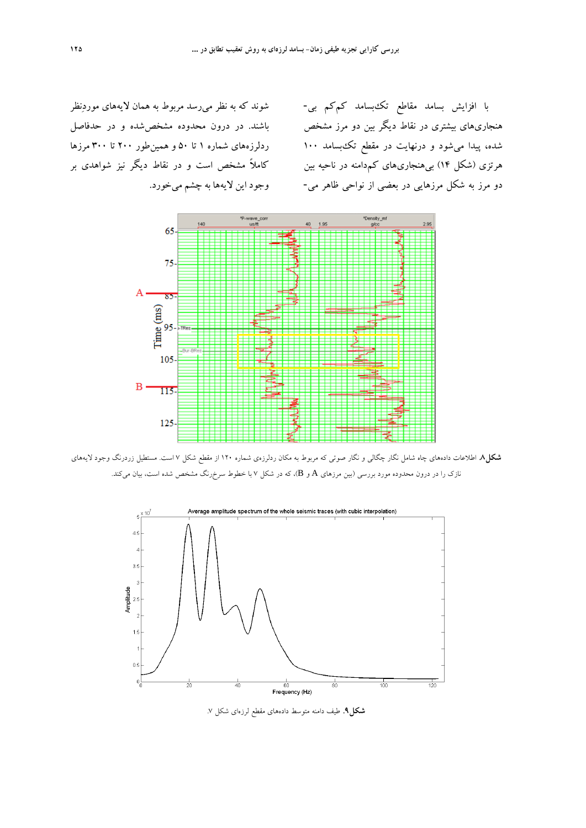شوند كه به نظر ميرسد مربوط به همان لايههاي موردنظر باشند. در درون محدوده مشخصشده و در حدفاصل ردلرزههاي شماره 1 تا 50 و همينطور 200 تا 300 مرزها كاملاً مشخص است و در نقاط ديگر نيز شواهدي بر وجود اين لايهها به چشم ميخورد.

با افزايش بسامد مقاطع تكبسامد كمكم بي- هنجاريهاي بيشتري در نقاط ديگر بين دو مرز مشخص شده، پيدا ميشود و درنهايت در مقطع تكبسامد 100 هرتزي (شكل 14) بيهنجاريهاي كمدامنه در ناحيه بين دو مرز به شكل مرزهايي در بعضي از نواحي ظاهر مي-



**شكل.8** اطلاعات دادههاي چاه شامل نگار چگالي و نگار صوتي كه مربوط به مكان ردلرزهي شماره 120 از مقطع شكل 7 است. مستطيل زردرنگ وجود لايههاي نازک را در درون محدوده مورد بررسي (بين مرزهاي A و B)، كه در شكل ۷ با خطوط سرخرنگ مشخص شده است، بيان ميكند.



**شكل.9** طيف دامنه متوسط دادههاي مقطع لرزهاي شكل .7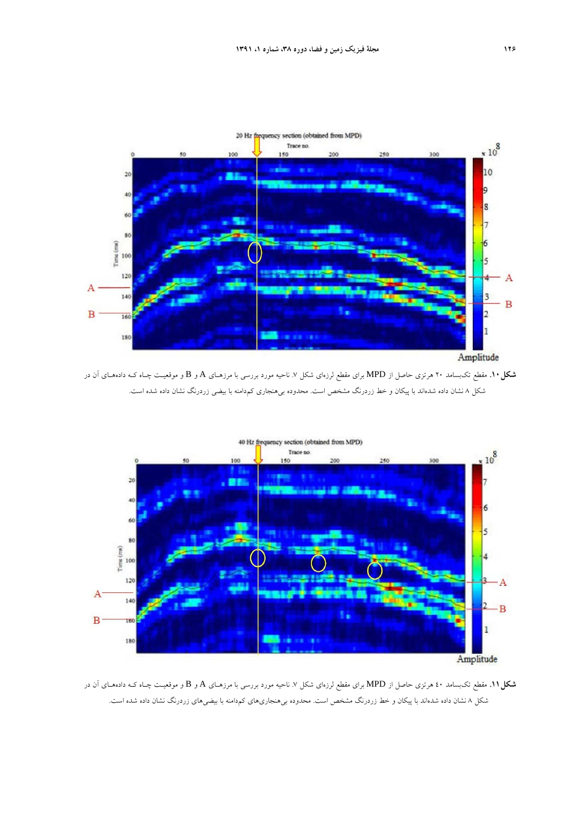

**شكل.10** مقطع تكبسامد 20 هرتزي حاصل از MPD براي مقطع لرزهاي شكل .7 ناحيه مورد بررسي با مرزهـاي A و B و موقعيـت چـاه كـه دادههـاي آن در شكل <sup>8</sup> نشان داده شدهاند با پيكان <sup>و</sup> خط زردرنگ مشخص است. محدوده بيهنجاري كمدامنه با بيضي زردرنگ نشان داده شده است.



**شكل.11** مقطع تكبسامد 40 هرتزي حاصل از MPD براي مقطع لرزهاي شكل .7 ناحيه مورد بررسي با مرزهـاي A و B و موقعيـت چـاه كـه دادههـاي آن در شكل <sup>8</sup> نشان داده شدهاند با پيكان <sup>و</sup> خط زردرنگ مشخص است. محدوده بيهنجاريهاي كمدامنه با بيضيهاي زردرنگ نشان داده شده است.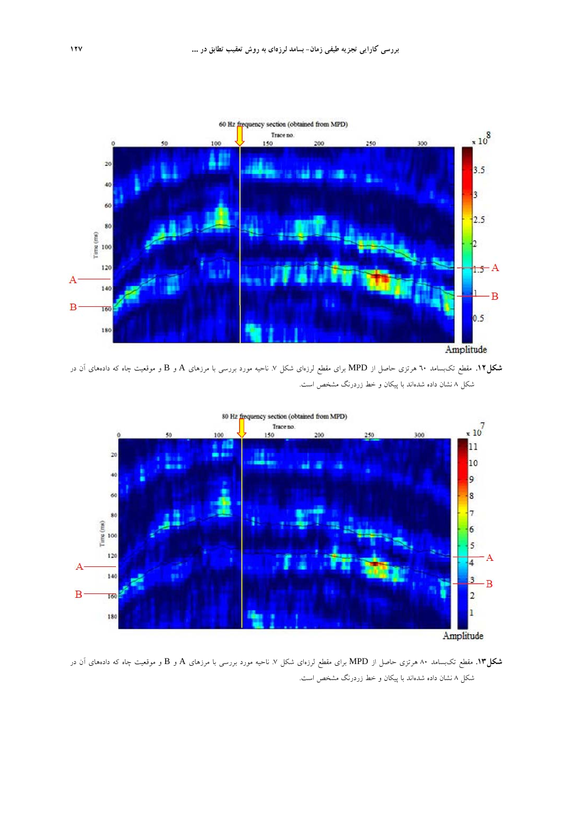

**شكل.12** مقطع تكبسامد 60 هرتزي حاصل از MPD براي مقطع لرزهاي شكل .7 ناحيه مورد بررسي با مرزهاي A و B و موقعيت چاه كه دادههاي آن در شكل <sup>8</sup> نشان داده شدهاند با پيكان <sup>و</sup> خط زردرنگ مشخص است.



**شكل.13** مقطع تكبسامد 80 هرتزي حاصل از MPD براي مقطع لرزهاي شكل .7 ناحيه مورد بررسي با مرزهاي A و B و موقعيت چاه كه دادههاي آن در شكل 8 نشان داده شدهاند با پيكان و خط زردرنگ مشخص است.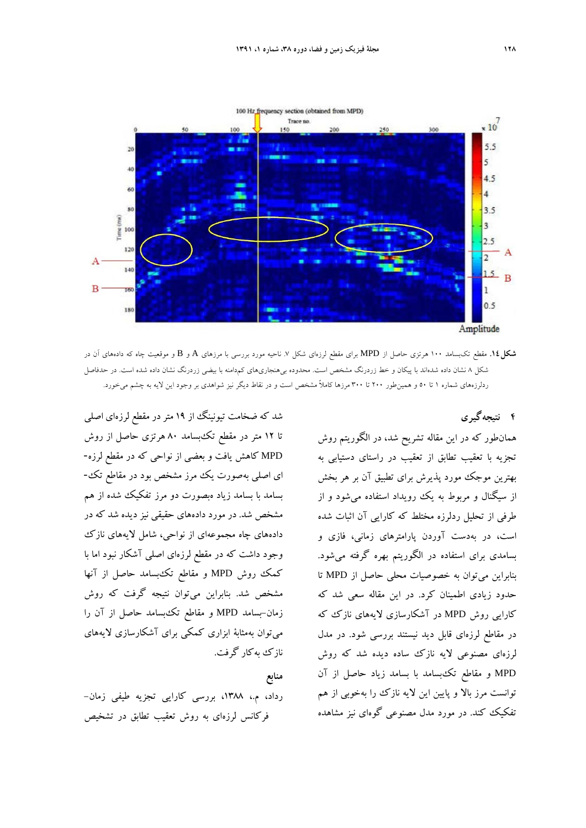

**شكل.14** مقطع تكبسامد 100 هرتزي حاصل از MPD براي مقطع لرزهاي شكل .7 ناحيه مورد بررسي با مرزهاي A و B و موقعيت چاه كه دادههاي آن در شكل 8 نشان داده شدهاند با پيكان و خط زردرنگ مشخص است. محدوده بيهنجاريهاي كمدامنه با بيضي زردرنگ نشان داده شده است. در حدفاصل ردلرزههاي شماره 1 تا 50 و همينطور 200 تا 300 مرزها كاملاً مشخص است و در نقاط ديگر نيز شواهدي بر وجود اين لايه به چشم ميخورد.

**4 نتيجهگيري** 

شد كه ضخامت تيونينگ از 19 متردر مقطع لرزهاي اصلي تا 12 متر در مقطع تكبسامد 80 هرتزي حاصل از روش MPD كاهش يافت و بعضي از نواحي كه در مقطع لرزه- اي اصلي بهصورت يك مرز مشخص بود در مقاطع تك- بسامد با بسامد زياد هبصورت دو مرز تفكيك شده از هم مشخص شد. در مورد دادههاي حقيقي نيز ديده شد كه در دادههاي چاه مجموعهاي از نواحي، شامل لايههاي نازك وجود داشت كه در مقطع لرزهاي اصلي آشكار نبود اما با كمك روش MPD و مقاطع تكبسامد حاصل از آنها مشخص شد. بنابراين ميتوان نتيجه گرفت كه روش زمان-بسامد MPD و مقاطع تكبسامد حاصل از آن را ميتوان بهمثابة ابزاري كمكي براي آشكارسازي لايههاي نازك بهكار گرفت.

## **منابع**

رداد، م،. ،1388 بررسي كارايي تجزيه طيفي زمان- فركانس لرزهاي به روش تعقيب تطابق در تشخيص

همانطور كه در اين مقاله تشريح شد، در الگوريتم روش تجزيه با تعقيب تطابق از تعقيب در راستاي دستيابي به بهترين موجك مورد پذيرش براي تطبيق آن بر هر بخش از سيگنال و مربوط به يك رويداد استفاده ميشود و از طرفي از تحليل ردلرزه مختلط كه كارايي آن اثبات شده است، در بهدست آوردن پارامترهاي زماني، فازي و بسامدي براي استفاده در الگوريتم بهره گرفته ميشود. بنابراين ميتوان به خصوصيات محلي حاصل از MPD تا حدود زيادي اطمينان كرد. در اين مقاله سعي شد كه كارايي روش MPD در آشكارسازي لايههاي نازك كه در مقاطع لرزهاي قابل ديد نيستند بررسي شود. در مدل لرزهاي مصنوعي لايه نازك ساده ديده شد كه روش MPD و مقاطع تكبسامد با بسامد زياد حاصل از آن توانست مرز بالا و پايين اين لايه نازك را بهخوبي از هم تفكيك كند. در مورد مدل مصنوعي گوهاي نيز مشاهده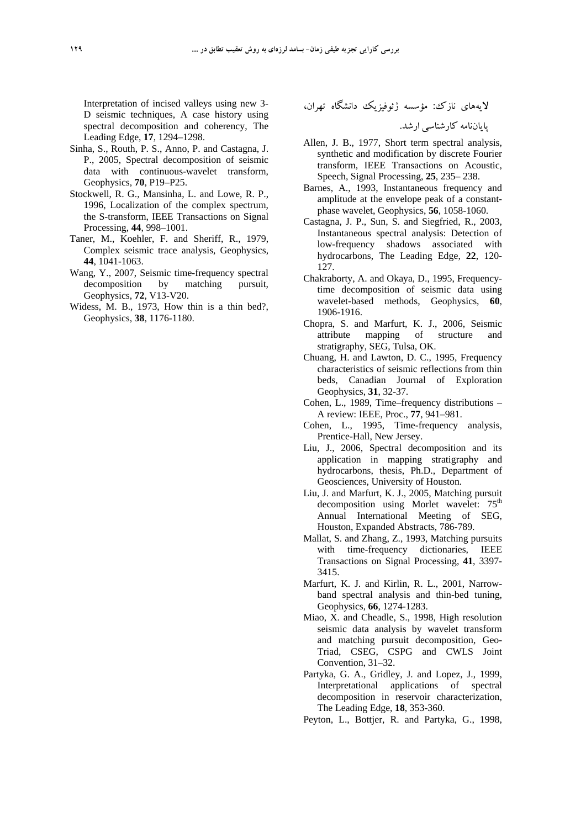Interpretation of incised valleys using new 3- D seismic techniques, A case history using spectral decomposition and coherency, The Leading Edge, **17**, 1294–1298.

- Sinha, S., Routh, P. S., Anno, P. and Castagna, J. P., 2005, Spectral decomposition of seismic data with continuous-wavelet transform, Geophysics, **70**, P19–P25.
- Stockwell, R. G., Mansinha, L. and Lowe, R. P., 1996, Localization of the complex spectrum, the S-transform, IEEE Transactions on Signal Processing, **44**, 998–1001.
- Taner, M., Koehler, F. and Sheriff, R., 1979, Complex seismic trace analysis, Geophysics, **44**, 1041-1063.
- Wang, Y., 2007, Seismic time-frequency spectral decomposition by matching pursuit, Geophysics, **72**, V13-V20.
- Widess, M. B., 1973, How thin is a thin bed?, Geophysics, **38**, 1176-1180.

لايههاي نازك: مؤسسه ژئوفيزيك دانشگاه تهران،

پاياننامه كارشناسي ارشد.

- Allen, J. B., 1977, Short term spectral analysis, synthetic and modification by discrete Fourier transform, IEEE Transactions on Acoustic, Speech, Signal Processing, **25**, 235– 238.
- Barnes, A., 1993, Instantaneous frequency and amplitude at the envelope peak of a constantphase wavelet, Geophysics, **56**, 1058-1060.
- Castagna, J. P., Sun, S. and Siegfried, R., 2003, Instantaneous spectral analysis: Detection of low-frequency shadows associated with hydrocarbons, The Leading Edge, **22**, 120- 127.
- Chakraborty, A. and Okaya, D., 1995, Frequencytime decomposition of seismic data using wavelet-based methods, Geophysics, **60**, 1906-1916.
- Chopra, S. and Marfurt, K. J., 2006, Seismic attribute mapping of structure and stratigraphy, SEG, Tulsa, OK.
- Chuang, H. and Lawton, D. C., 1995, Frequency characteristics of seismic reflections from thin beds, Canadian Journal of Exploration Geophysics, **31**, 32-37.
- Cohen, L., 1989, Time–frequency distributions A review: IEEE, Proc., **77**, 941–981.
- Cohen, L., 1995, Time-frequency analysis, Prentice-Hall, New Jersey.
- Liu, J., 2006, Spectral decomposition and its application in mapping stratigraphy and hydrocarbons, thesis, Ph.D., Department of Geosciences, University of Houston.
- Liu, J. and Marfurt, K. J., 2005, Matching pursuit decomposition using Morlet wavelet: 75<sup>th</sup> Annual International Meeting of SEG, Houston, Expanded Abstracts, 786-789.
- Mallat, S. and Zhang, Z., 1993, Matching pursuits with time-frequency dictionaries, IEEE Transactions on Signal Processing, **41**, 3397- 3415.
- Marfurt, K. J. and Kirlin, R. L., 2001, Narrowband spectral analysis and thin-bed tuning, Geophysics, **66**, 1274-1283.
- Miao, X. and Cheadle, S., 1998, High resolution seismic data analysis by wavelet transform and matching pursuit decomposition, Geo-Triad, CSEG, CSPG and CWLS Joint Convention, 31–32.
- Partyka, G. A., Gridley, J. and Lopez, J., 1999, Interpretational applications of spectral decomposition in reservoir characterization, The Leading Edge, **18**, 353-360.
- Peyton, L., Bottjer, R. and Partyka, G., 1998,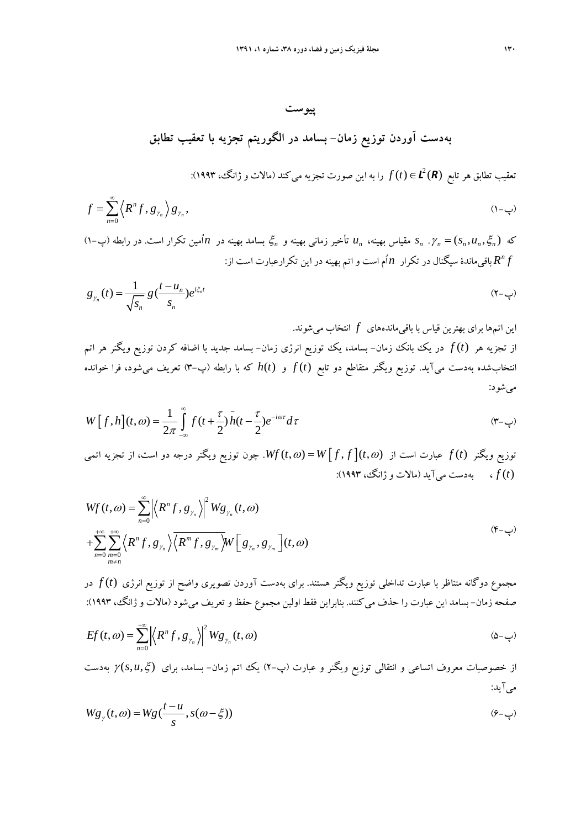**پيوست** 

**بهدست آوردن توزيع زمان- بسامد در الگوريتم تجزيه با تعقيب تطابق** 

*R L*() ( ) ∈*t f* را به اين صورت تجزيه ميكند (مالات و ژانگ، 1993): <sup>2</sup> تعقيب تطابق هر تابع

$$
f = \sum_{n=0}^{\infty} \left\langle R^n f, g_{\gamma_n} \right\rangle g_{\gamma_n}, \tag{1--}
$$

ξ بسامد بهينه در *n* اُمين تكرار است. در رابطه (پ1-) *<sup>n</sup> u* تأخير زماني بهينه و *<sup>n</sup> s* مقياس بهينه، *<sup>n</sup>* ξ *u s* = <sup>γ</sup>. *nnn n* كه ( , ,) *f R* باقيماندة سيگنال در تكرار *n* اُم است واتم بهينه در اين تكرارعبارت است از: *<sup>n</sup>*

$$
g_{\gamma_n}(t) = \frac{1}{\sqrt{s_n}} g\left(\frac{t - u_n}{s_n}\right) e^{i\xi_n t} \tag{7-\cosh\theta}
$$

اين اتمها براي بهترين قياس با باقيماندههاي *f* انتخاب ميشوند. از تجزيه هر *t* ( )*f* در يك بانك زمان- بسامد، يك توزيع انرژي زمان- بسامد جديد با اضافه كردن توزيع ويگنر هر اتم انتخابشده بهدست ميآيد. توزيع ويگنر متقاطع دو تابع *t* ( )*f* و ( )*t h* كه با رابطه (پ3-) تعريف ميشود، فرا خوانده ميشود:

$$
W[f,h](t,\omega) = \frac{1}{2\pi} \int_{-\infty}^{\infty} f(t+\frac{\tau}{2}) \bar{h}(t-\frac{\tau}{2}) e^{-i\omega\tau} d\tau
$$
 (Y-\omega)

توزيع ويگنر *t* ( )*f* عبارت است از <sup>ω</sup> = [ ] <sup>ω</sup> ) , (, ) , (*t f f W t Wf*. چون توزيع ويگنر درجه دو است، از تجزيه اتمي *t* ( )*f* ، بهدست ميآيد (مالات و ژانگ، 1993):

$$
Wf(t,\omega) = \sum_{n=0}^{\infty} \left| \left\langle R^n f, g_{\gamma_n} \right\rangle \right|^2 W g_{\gamma_n}(t,\omega)
$$
  
+
$$
\sum_{n=0}^{+\infty} \sum_{m=0}^{+\infty} \left\langle R^n f, g_{\gamma_n} \right\rangle \left\langle R^m f, g_{\gamma_m} \right\rangle W \left[ g_{\gamma_n}, g_{\gamma_m} \right](t,\omega)
$$
  
(f<sub>-</sub>

مجموع دوگانه متناظر با عبارت تداخلي توزيع ويگنر هستند. براي بهدست آوردن تصويري واضح از توزيع انرژي *t* ( )*f* در صفحه زمان- بسامد اين عبارت را حذف ميكنند. بنابراين فقط اولين مجموع حفظ وتعريف ميشود (مالات و ژانگ، 1993):

$$
Ef(t,\omega) = \sum_{n=0}^{+\infty} \left| \left\langle R^n f, g_{\gamma_n} \right\rangle \right|^2 W g_{\gamma_n}(t,\omega) \tag{2--}
$$

از خصوصيات معروف اتساعي و انتقالي توزيع ويگنر و عبارت (پ2-) يك اتم زمان- بسامد، براي ξ *u s* ) , , (<sup>γ</sup> بهدست ميآيد:

$$
Wg_{\gamma}(t,\omega) = Wg\left(\frac{t-u}{s}, s(\omega-\xi)\right) \tag{9-1}
$$